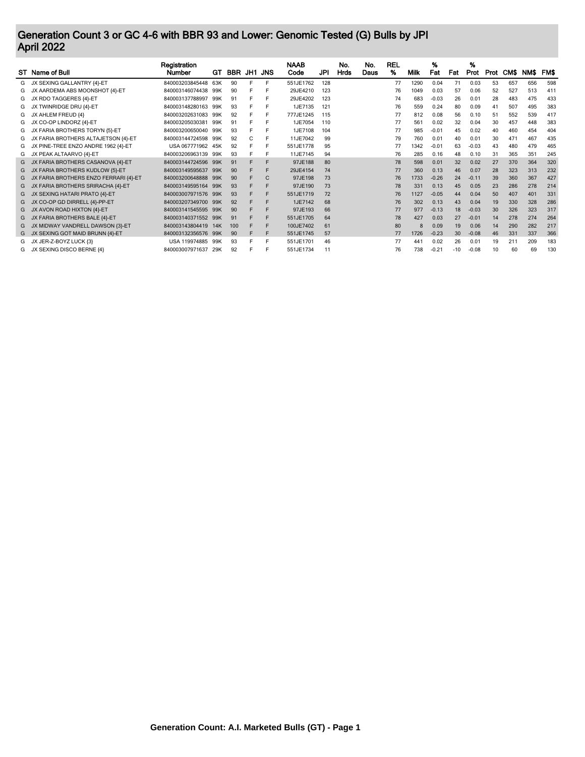## Generation Count 3 or GC 4-6 with BBR 93 and Lower: Genomic Tested (G) Bulls by JPI April 2022

|    | ST Name of Bull                       | Registration<br>Number | GТ  | BBR JH1 JNS |    |   | <b>NAAB</b><br>Code | JPI | No.<br>Hrds | No.<br>Daus | <b>REL</b><br>% | Milk | %<br>Fat | Fat   | %<br>Prot |    | Prot CM\$ | <b>NMS</b> | FM\$ |
|----|---------------------------------------|------------------------|-----|-------------|----|---|---------------------|-----|-------------|-------------|-----------------|------|----------|-------|-----------|----|-----------|------------|------|
| G  | JX SEXING GALLANTRY {4}-ET            | 840003203845448        | 63K | 90          | F. | E | 551JE1762           | 128 |             |             | 77              | 1290 | 0.04     | 71    | 0.03      | 53 | 657       | 656        | 598  |
| G  | JX AARDEMA ABS MOONSHOT {4}-ET        | 840003146074438        | 99K | 90          |    | Е | 29JE4210            | 123 |             |             | 76              | 1049 | 0.03     | 57    | 0.06      | 52 | 527       | 513        | 41   |
| G  | JX RDO TAGGERES {4}-ET                | 840003137788997        | 99K | 91          |    | Е | 29JE4202            | 123 |             |             | 74              | 683  | $-0.03$  | 26    | 0.01      | 28 | 483       | 475        | 433  |
| G  | JX TWINRIDGE DRU {4}-ET               | 840003148280163        | 99K | 93          | F  | Е | 1JE7135             | 121 |             |             | 76              | 559  | 0.24     | 80    | 0.09      | 41 | 507       | 495        | 383  |
| G. | JX AHLEM FREUD {4}                    | 840003202631083        | 99K | 92          | F  | Е | 777JE1245           | 115 |             |             | 77              | 812  | 0.08     | 56    | 0.10      | 51 | 552       | 539        | 417  |
|    | JX CO-OP LINDORZ {4}-ET               | 840003205030381        | 99K | 91          | F  | Е | 1JE7054             | 110 |             |             | 77              | 561  | 0.02     | 32    | 0.04      | 30 | 457       | 448        | 383  |
| G  | JX FARIA BROTHERS TORYN {5}-ET        | 840003200650040        | 99K | 93          | F  |   | 1JE7108             | 104 |             |             | 77              | 985  | $-0.01$  | 45    | 0.02      | 40 | 460       | 454        | 404  |
| G  | JX FARIA BROTHERS ALTAJETSON {4}-ET   | 840003144724598        | 99K | 92          | C  | Е | 11JE7042            | 99  |             |             | 79              | 760  | 0.01     | 40    | 0.01      | 30 | 471       | 467        | 435  |
| G  | JX PINE-TREE ENZO ANDRE 1962 {4}-ET   | USA 067771962 45K      |     | 92          | F  | Е | 551JE1778           | 95  |             |             | 77              | 1342 | $-0.01$  | 63    | $-0.03$   | 43 | 480       | 479        | 465  |
| G  | JX PEAK ALTAARVO {4}-ET               | 840003206963139        | 99K | 93          | Е  | F | 11JE7145            | 94  |             |             | 76              | 285  | 0.16     | 48    | 0.10      | 31 | 365       | 351        | 245  |
| G  | JX FARIA BROTHERS CASANOVA {4}-ET     | 840003144724596 99K    |     | 91          | F  | F | 97JE188             | 80  |             |             | 78              | 598  | 0.01     | 32    | 0.02      | 27 | 370       | 364        | 320  |
|    | JX FARIA BROTHERS KUDLOW {5}-ET       | 840003149595637 99K    |     | 90          |    | F | 29JE4154            | 74  |             |             | 77              | 360  | 0.13     | 46    | 0.07      | 28 | 323       | 313        | 232  |
| G  | JX FARIA BROTHERS ENZO FERRARI {4}-ET | 840003200648888        | 99K | 90          |    | C | 97JE198             | 73  |             |             | 76              | 1733 | $-0.26$  | 24    | $-0.11$   | 39 | 360       | 367        | 427  |
| G. | JX FARIA BROTHERS SRIRACHA (4)-ET     | 840003149595164        | 99K | 93          |    | F | 97JE190             | 73  |             |             | 78              | 331  | 0.13     | 45    | 0.05      | 23 | 286       | 278        | 214  |
| G  | JX SEXING HATARI PRATO {4}-ET         | 840003007971576        | 99K | 93          |    | F | 551JE1719           | 72  |             |             | 76              | 1127 | $-0.05$  | 44    | 0.04      | 50 | 407       | 401        | 331  |
| G  | JX CO-OP GD DIRRELL {4}-PP-ET         | 840003207349700        | 99K | 92          | F  | F | 1JE7142             | 68  |             |             | 76              | 302  | 0.13     | 43    | 0.04      | 19 | 330       | 328        | 286  |
| G  | JX AVON ROAD HIXTON {4}-ET            | 840003141545595        | 99K | 90          |    | F | 97JE193             | 66  |             |             | 77              | 977  | $-0.13$  | 18    | $-0.03$   | 30 | 326       | 323        | 317  |
| G  | JX FARIA BROTHERS BALE {4}-ET         | 840003140371552        | 99K | 91          |    | E | 551JE1705           | 64  |             |             | 78              | 427  | 0.03     | 27    | $-0.01$   | 14 | 278       | 274        | 264  |
| G. | JX MIDWAY VANDRELL DAWSON {3}-ET      | 840003143804419        | 14K | 100         |    | F | 100JE7402           | 61  |             |             | 80              | 8    | 0.09     | 19    | 0.06      | 14 | 290       | 282        | 217  |
| G  | JX SEXING GOT MAID BRUNN {4}-ET       | 840003132356576        | 99K | 90          | F  | F | 551JE1745           | 57  |             |             | 77              | 1726 | $-0.23$  | 30    | $-0.08$   | 46 | 331       | 337        | 366  |
|    | JX JER-Z-BOYZ LUCK {3}                | USA 119974885          | 99K | 93          |    | F | 551JE1701           | 46  |             |             | 77              | 441  | 0.02     | 26    | 0.01      | 19 | 211       | 209        | 183  |
|    | JX SEXING DISCO BERNE {4}             | 840003007971637        | 29K | 92          | Е  | Е | 551JE1734           |     |             |             | 76              | 738  | $-0.21$  | $-10$ | $-0.08$   | 10 | 60        | 69         | 130  |